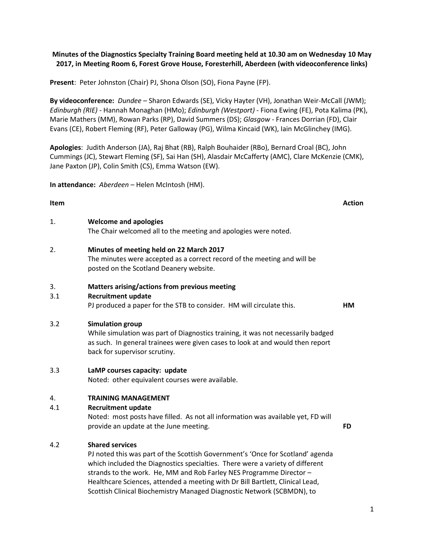1

## **Minutes of the Diagnostics Specialty Training Board meeting held at 10.30 am on Wednesday 10 May 2017, in Meeting Room 6, Forest Grove House, Foresterhill, Aberdeen (with videoconference links)**

**Present**: Peter Johnston (Chair) PJ, Shona Olson (SO), Fiona Payne (FP).

**By videoconference:** *Dundee* – Sharon Edwards (SE), Vicky Hayter (VH), Jonathan Weir-McCall (JWM); *Edinburgh (RIE)* - Hannah Monaghan (HMo); *Edinburgh (Westport)* - Fiona Ewing (FE), Pota Kalima (PK), Marie Mathers (MM), Rowan Parks (RP), David Summers (DS); *Glasgow* - Frances Dorrian (FD), Clair Evans (CE), Robert Fleming (RF), Peter Galloway (PG), Wilma Kincaid (WK), Iain McGlinchey (IMG).

**Apologies**: Judith Anderson (JA), Raj Bhat (RB), Ralph Bouhaider (RBo), Bernard Croal (BC), John Cummings (JC), Stewart Fleming (SF), Sai Han (SH), Alasdair McCafferty (AMC), Clare McKenzie (CMK), Jane Paxton (JP), Colin Smith (CS), Emma Watson (EW).

**In attendance:** *Aberdeen* – Helen McIntosh (HM).

## 1. **Welcome and apologies**

The Chair welcomed all to the meeting and apologies were noted.

## 2. **Minutes of meeting held on 22 March 2017**

The minutes were accepted as a correct record of the meeting and will be posted on the Scotland Deanery website.

#### 3. **Matters arising/actions from previous meeting**

## 3.1 **Recruitment update**

PJ produced a paper for the STB to consider. HM will circulate this. **HM**

## 3.2 **Simulation group**

While simulation was part of Diagnostics training, it was not necessarily badged as such. In general trainees were given cases to look at and would then report back for supervisor scrutiny.

#### 3.3 **LaMP courses capacity: update**

Noted: other equivalent courses were available.

## 4. **TRAINING MANAGEMENT**

# 4.1 **Recruitment update**

Noted: most posts have filled. As not all information was available yet, FD will provide an update at the June meeting. **FD**

## 4.2 **Shared services**

PJ noted this was part of the Scottish Government's 'Once for Scotland' agenda which included the Diagnostics specialties. There were a variety of different strands to the work. He, MM and Rob Farley NES Programme Director – Healthcare Sciences, attended a meeting with Dr Bill Bartlett, Clinical Lead, Scottish Clinical Biochemistry Managed Diagnostic Network (SCBMDN), to

#### **Item Action**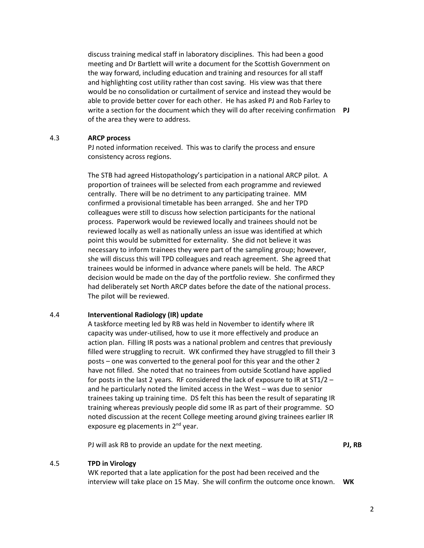discuss training medical staff in laboratory disciplines. This had been a good meeting and Dr Bartlett will write a document for the Scottish Government on the way forward, including education and training and resources for all staff and highlighting cost utility rather than cost saving. His view was that there would be no consolidation or curtailment of service and instead they would be able to provide better cover for each other. He has asked PJ and Rob Farley to write a section for the document which they will do after receiving confirmation **PJ** of the area they were to address.

## 4.3 **ARCP process**

PJ noted information received. This was to clarify the process and ensure consistency across regions.

The STB had agreed Histopathology's participation in a national ARCP pilot. A proportion of trainees will be selected from each programme and reviewed centrally. There will be no detriment to any participating trainee. MM confirmed a provisional timetable has been arranged. She and her TPD colleagues were still to discuss how selection participants for the national process. Paperwork would be reviewed locally and trainees should not be reviewed locally as well as nationally unless an issue was identified at which point this would be submitted for externality. She did not believe it was necessary to inform trainees they were part of the sampling group; however, she will discuss this will TPD colleagues and reach agreement. She agreed that trainees would be informed in advance where panels will be held. The ARCP decision would be made on the day of the portfolio review. She confirmed they had deliberately set North ARCP dates before the date of the national process. The pilot will be reviewed.

#### 4.4 **Interventional Radiology (IR) update**

A taskforce meeting led by RB was held in November to identify where IR capacity was under-utilised, how to use it more effectively and produce an action plan. Filling IR posts was a national problem and centres that previously filled were struggling to recruit. WK confirmed they have struggled to fill their 3 posts – one was converted to the general pool for this year and the other 2 have not filled. She noted that no trainees from outside Scotland have applied for posts in the last 2 years. RF considered the lack of exposure to IR at ST1/2 – and he particularly noted the limited access in the West – was due to senior trainees taking up training time. DS felt this has been the result of separating IR training whereas previously people did some IR as part of their programme. SO noted discussion at the recent College meeting around giving trainees earlier IR exposure eg placements in 2<sup>nd</sup> year.

PJ will ask RB to provide an update for the next meeting. **PJ, RB**

#### 4.5 **TPD in Virology**

WK reported that a late application for the post had been received and the interview will take place on 15 May. She will confirm the outcome once known. **WK**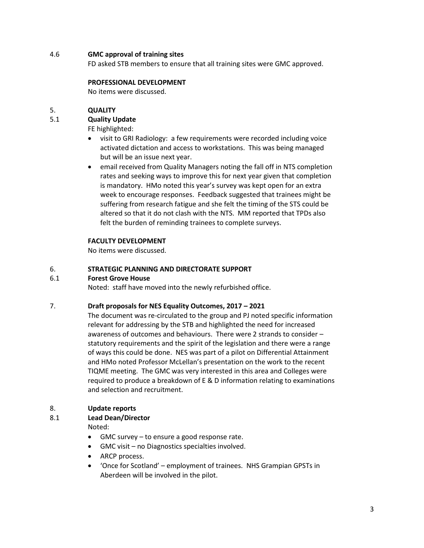## 4.6 **GMC approval of training sites**

FD asked STB members to ensure that all training sites were GMC approved.

#### **PROFESSIONAL DEVELOPMENT**

No items were discussed.

## 5. **QUALITY**

## 5.1 **Quality Update**

FE highlighted:

- visit to GRI Radiology: a few requirements were recorded including voice activated dictation and access to workstations. This was being managed but will be an issue next year.
- email received from Quality Managers noting the fall off in NTS completion rates and seeking ways to improve this for next year given that completion is mandatory. HMo noted this year's survey was kept open for an extra week to encourage responses. Feedback suggested that trainees might be suffering from research fatigue and she felt the timing of the STS could be altered so that it do not clash with the NTS. MM reported that TPDs also felt the burden of reminding trainees to complete surveys.

## **FACULTY DEVELOPMENT**

No items were discussed.

## 6. **STRATEGIC PLANNING AND DIRECTORATE SUPPORT**

## 6.1 **Forest Grove House**

Noted: staff have moved into the newly refurbished office.

## 7. **Draft proposals for NES Equality Outcomes, 2017 – 2021**

The document was re-circulated to the group and PJ noted specific information relevant for addressing by the STB and highlighted the need for increased awareness of outcomes and behaviours. There were 2 strands to consider – statutory requirements and the spirit of the legislation and there were a range of ways this could be done. NES was part of a pilot on Differential Attainment and HMo noted Professor McLellan's presentation on the work to the recent TIQME meeting. The GMC was very interested in this area and Colleges were required to produce a breakdown of E & D information relating to examinations and selection and recruitment.

## 8. **Update reports**

# 8.1 **Lead Dean/Director**

Noted:

- GMC survey to ensure a good response rate.
- GMC visit no Diagnostics specialties involved.
- ARCP process.
- 'Once for Scotland' employment of trainees. NHS Grampian GPSTs in Aberdeen will be involved in the pilot.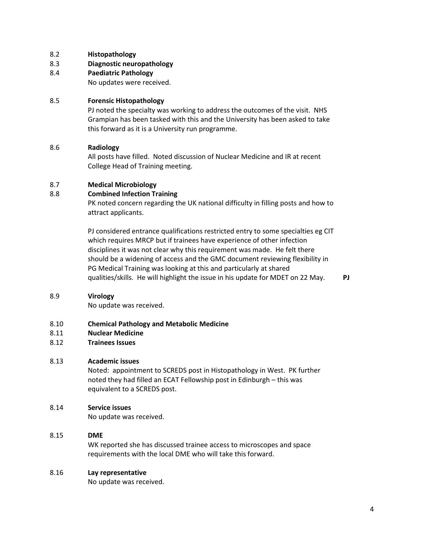- 8.2 **Histopathology**
- 8.3 **Diagnostic neuropathology**
- 8.4 **Paediatric Pathology**

No updates were received.

## 8.5 **Forensic Histopathology**

PJ noted the specialty was working to address the outcomes of the visit. NHS Grampian has been tasked with this and the University has been asked to take this forward as it is a University run programme.

## 8.6 **Radiology**

All posts have filled. Noted discussion of Nuclear Medicine and IR at recent College Head of Training meeting.

## 8.7 **Medical Microbiology**

## 8.8 **Combined Infection Training**

PK noted concern regarding the UK national difficulty in filling posts and how to attract applicants.

PJ considered entrance qualifications restricted entry to some specialties eg CIT which requires MRCP but if trainees have experience of other infection disciplines it was not clear why this requirement was made. He felt there should be a widening of access and the GMC document reviewing flexibility in PG Medical Training was looking at this and particularly at shared qualities/skills. He will highlight the issue in his update for MDET on 22 May. **PJ**

#### 8.9 **Virology**

No update was received.

#### 8.10 **Chemical Pathology and Metabolic Medicine**

- 8.11 **Nuclear Medicine**
- 8.12 **Trainees Issues**

## 8.13 **Academic issues**

Noted: appointment to SCREDS post in Histopathology in West. PK further noted they had filled an ECAT Fellowship post in Edinburgh – this was equivalent to a SCREDS post.

#### 8.14 **Service issues**

No update was received.

## 8.15 **DME**

WK reported she has discussed trainee access to microscopes and space requirements with the local DME who will take this forward.

#### 8.16 **Lay representative**

No update was received.